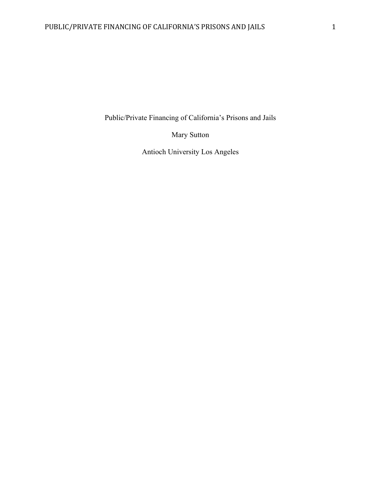Public/Private Financing of California's Prisons and Jails

Mary Sutton

Antioch University Los Angeles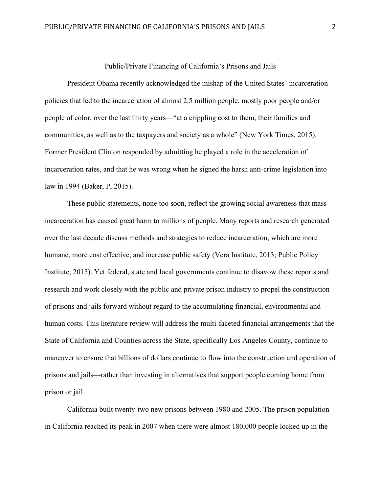## Public/Private Financing of California's Prisons and Jails

President Obama recently acknowledged the mishap of the United States' incarceration policies that led to the incarceration of almost 2.5 million people, mostly poor people and/or people of color, over the last thirty years—"at a crippling cost to them, their families and communities, as well as to the taxpayers and society as a whole" (New York Times, 2015). Former President Clinton responded by admitting he played a role in the acceleration of incarceration rates, and that he was wrong when he signed the harsh anti-crime legislation into law in 1994 (Baker, P, 2015).

These public statements, none too soon, reflect the growing social awareness that mass incarceration has caused great harm to millions of people. Many reports and research generated over the last decade discuss methods and strategies to reduce incarceration, which are more humane, more cost effective, and increase public safety (Vera Institute, 2013; Public Policy Institute, 2015). Yet federal, state and local governments continue to disavow these reports and research and work closely with the public and private prison industry to propel the construction of prisons and jails forward without regard to the accumulating financial, environmental and human costs. This literature review will address the multi-faceted financial arrangements that the State of California and Counties across the State, specifically Los Angeles County, continue to maneuver to ensure that billions of dollars continue to flow into the construction and operation of prisons and jails—rather than investing in alternatives that support people coming home from prison or jail.

California built twenty-two new prisons between 1980 and 2005. The prison population in California reached its peak in 2007 when there were almost 180,000 people locked up in the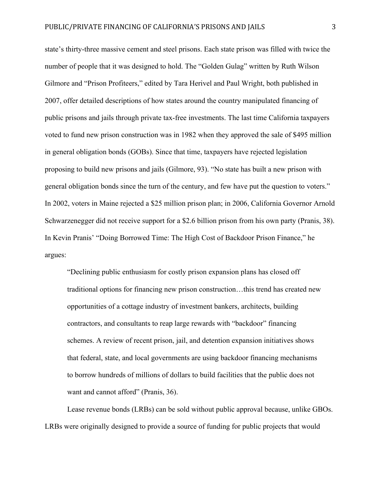state's thirty-three massive cement and steel prisons. Each state prison was filled with twice the number of people that it was designed to hold. The "Golden Gulag" written by Ruth Wilson Gilmore and "Prison Profiteers," edited by Tara Herivel and Paul Wright, both published in 2007, offer detailed descriptions of how states around the country manipulated financing of public prisons and jails through private tax-free investments. The last time California taxpayers voted to fund new prison construction was in 1982 when they approved the sale of \$495 million in general obligation bonds (GOBs). Since that time, taxpayers have rejected legislation proposing to build new prisons and jails (Gilmore, 93). "No state has built a new prison with general obligation bonds since the turn of the century, and few have put the question to voters." In 2002, voters in Maine rejected a \$25 million prison plan; in 2006, California Governor Arnold Schwarzenegger did not receive support for a \$2.6 billion prison from his own party (Pranis, 38). In Kevin Pranis' "Doing Borrowed Time: The High Cost of Backdoor Prison Finance," he argues:

"Declining public enthusiasm for costly prison expansion plans has closed off traditional options for financing new prison construction…this trend has created new opportunities of a cottage industry of investment bankers, architects, building contractors, and consultants to reap large rewards with "backdoor" financing schemes. A review of recent prison, jail, and detention expansion initiatives shows that federal, state, and local governments are using backdoor financing mechanisms to borrow hundreds of millions of dollars to build facilities that the public does not want and cannot afford" (Pranis, 36).

Lease revenue bonds (LRBs) can be sold without public approval because, unlike GBOs. LRBs were originally designed to provide a source of funding for public projects that would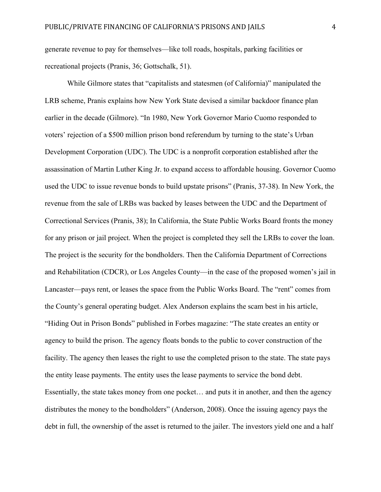generate revenue to pay for themselves—like toll roads, hospitals, parking facilities or recreational projects (Pranis, 36; Gottschalk, 51).

While Gilmore states that "capitalists and statesmen (of California)" manipulated the LRB scheme, Pranis explains how New York State devised a similar backdoor finance plan earlier in the decade (Gilmore). "In 1980, New York Governor Mario Cuomo responded to voters' rejection of a \$500 million prison bond referendum by turning to the state's Urban Development Corporation (UDC). The UDC is a nonprofit corporation established after the assassination of Martin Luther King Jr. to expand access to affordable housing. Governor Cuomo used the UDC to issue revenue bonds to build upstate prisons" (Pranis, 37-38). In New York, the revenue from the sale of LRBs was backed by leases between the UDC and the Department of Correctional Services (Pranis, 38); In California, the State Public Works Board fronts the money for any prison or jail project. When the project is completed they sell the LRBs to cover the loan. The project is the security for the bondholders. Then the California Department of Corrections and Rehabilitation (CDCR), or Los Angeles County—in the case of the proposed women's jail in Lancaster—pays rent, or leases the space from the Public Works Board. The "rent" comes from the County's general operating budget. Alex Anderson explains the scam best in his article, "Hiding Out in Prison Bonds" published in Forbes magazine: "The state creates an entity or agency to build the prison. The agency floats bonds to the public to cover construction of the facility. The agency then leases the right to use the completed prison to the state. The state pays the entity lease payments. The entity uses the lease payments to service the bond debt. Essentially, the state takes money from one pocket… and puts it in another, and then the agency distributes the money to the bondholders" (Anderson, 2008). Once the issuing agency pays the debt in full, the ownership of the asset is returned to the jailer. The investors yield one and a half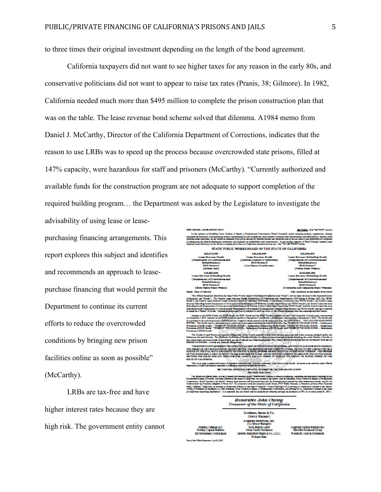to three times their original investment depending on the length of the bond agreement.

California taxpayers did not want to see higher taxes for any reason in the early 80s, and conservative politicians did not want to appear to raise tax rates (Pranis, 38; Gilmore). In 1982, California needed much more than \$495 million to complete the prison construction plan that was on the table. The lease revenue bond scheme solved that dilemma. A1984 memo from Daniel J. McCarthy, Director of the California Department of Corrections, indicates that the reason to use LRBs was to speed up the process because overcrowded state prisons, filled at 147% capacity, were hazardous for staff and prisoners (McCarthy). "Currently authorized and available funds for the construction program are not adequate to support completion of the required building program… the Department was asked by the Legislature to investigate the advisability of using lease or lease-

purchasing financing arrangements. This report explores this subject and identifies and recommends an approach to leasepurchase financing that would permit the Department to continue its current efforts to reduce the overcrowded conditions by bringing new prison facilities online as soon as possible" (McCarthy).

LRBs are tax-free and have higher interest rates because they are high risk. The government entity cannot

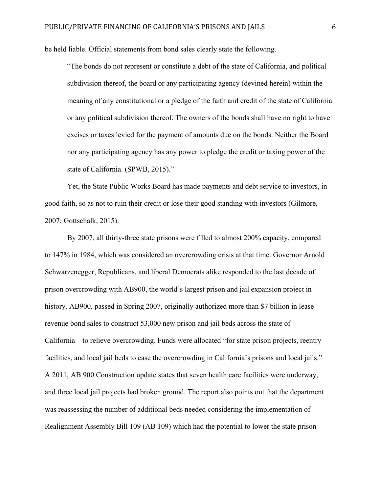be held liable. Official statements from bond sales clearly state the following.

"The bonds do not represent or constitute a debt of the state of California, and political subdivision thereof, the board or any participating agency (devined herein) within the meaning of any constitutional or a pledge of the faith and credit of the state of California or any political subdivision thereof. The owners of the bonds shall have no right to have excises or taxes levied for the payment of amounts due on the bonds. Neither the Board nor any participating agency has any power to pledge the credit or taxing power of the state of California. (SPWB, 2015)."

Yet, the State Public Works Board has made payments and debt service to investors, in good faith, so as not to ruin their credit or lose their good standing with investors (Gilmore, 2007; Gottschalk, 2015).

By 2007, all thirty-three state prisons were filled to almost 200% capacity, compared to 147% in 1984, which was considered an overcrowding crisis at that time. Governor Arnold Schwarzenegger, Republicans, and liberal Democrats alike responded to the last decade of prison overcrowding with AB900, the world's largest prison and jail expansion project in history. AB900, passed in Spring 2007, originally authorized more than \$7 billion in lease revenue bond sales to construct 53,000 new prison and jail beds across the state of California—to relieve overcrowding. Funds were allocated "for state prison projects, reentry facilities, and local jail beds to ease the overcrowding in California's prisons and local jails." A 2011, AB 900 Construction update states that seven health care facilities were underway, and three local jail projects had broken ground. The report also points out that the department was reassessing the number of additional beds needed considering the implementation of Realignment Assembly Bill 109 (AB 109) which had the potential to lower the state prison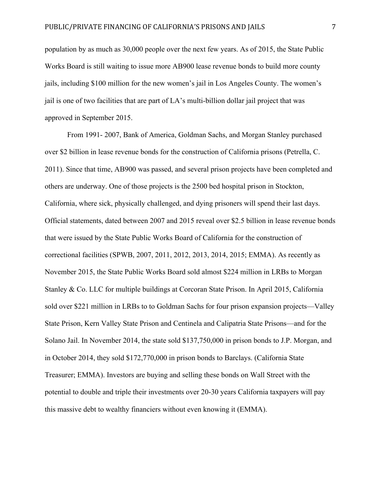population by as much as 30,000 people over the next few years. As of 2015, the State Public Works Board is still waiting to issue more AB900 lease revenue bonds to build more county jails, including \$100 million for the new women's jail in Los Angeles County. The women's jail is one of two facilities that are part of LA's multi-billion dollar jail project that was approved in September 2015.

From 1991- 2007, Bank of America, Goldman Sachs, and Morgan Stanley purchased over \$2 billion in lease revenue bonds for the construction of California prisons (Petrella, C. 2011). Since that time, AB900 was passed, and several prison projects have been completed and others are underway. One of those projects is the 2500 bed hospital prison in Stockton, California, where sick, physically challenged, and dying prisoners will spend their last days. Official statements, dated between 2007 and 2015 reveal over \$2.5 billion in lease revenue bonds that were issued by the State Public Works Board of California for the construction of correctional facilities (SPWB, 2007, 2011, 2012, 2013, 2014, 2015; EMMA). As recently as November 2015, the State Public Works Board sold almost \$224 million in LRBs to Morgan Stanley & Co. LLC for multiple buildings at Corcoran State Prison. In April 2015, California sold over \$221 million in LRBs to to Goldman Sachs for four prison expansion projects—Valley State Prison, Kern Valley State Prison and Centinela and Calipatria State Prisons—and for the Solano Jail. In November 2014, the state sold \$137,750,000 in prison bonds to J.P. Morgan, and in October 2014, they sold \$172,770,000 in prison bonds to Barclays. (California State Treasurer; EMMA). Investors are buying and selling these bonds on Wall Street with the potential to double and triple their investments over 20-30 years California taxpayers will pay this massive debt to wealthy financiers without even knowing it (EMMA).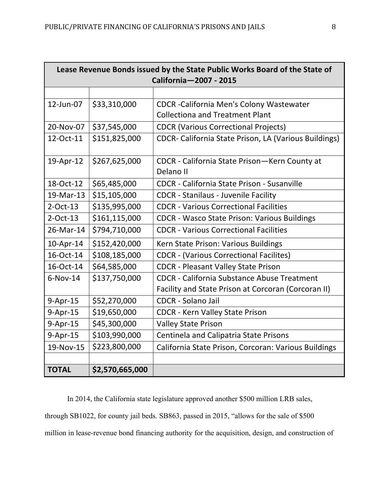| Lease Revenue Bonds issued by the State Public Works Board of the State of<br>California-2007 - 2015 |                 |                                                              |
|------------------------------------------------------------------------------------------------------|-----------------|--------------------------------------------------------------|
|                                                                                                      |                 |                                                              |
| 12-Jun-07                                                                                            | \$33,310,000    | <b>CDCR</b> - California Men's Colony Wastewater             |
|                                                                                                      |                 | <b>Collectiona and Treatment Plant</b>                       |
| 20-Nov-07                                                                                            | \$37,545,000    | <b>CDCR (Various Correctional Projects)</b>                  |
| 12-Oct-11                                                                                            | \$151,825,000   | <b>CDCR- California State Prison, LA (Various Buildings)</b> |
| 19-Apr-12                                                                                            | \$267,625,000   | CDCR - California State Prison - Kern County at              |
|                                                                                                      |                 | Delano II                                                    |
| 18-Oct-12                                                                                            | \$65,485,000    | <b>CDCR</b> - California State Prison - Susanville           |
| 19-Mar-13                                                                                            | \$15,105,000    | <b>CDCR</b> - Stanilaus - Juvenile Facility                  |
| $2$ -Oct-13                                                                                          | \$135,995,000   | <b>CDCR - Various Correctional Facilities</b>                |
| $2$ -Oct-13                                                                                          | \$161,115,000   | <b>CDCR - Wasco State Prison: Various Buildings</b>          |
| 26-Mar-14                                                                                            | \$794,710,000   | <b>CDCR - Various Correctional Facilities</b>                |
| 10-Apr-14                                                                                            | \$152,420,000   | Kern State Prison: Various Buildings                         |
| 16-Oct-14                                                                                            | \$108,185,000   | <b>CDCR - (Various Correctional Facilites)</b>               |
| 16-Oct-14                                                                                            | \$64,585,000    | <b>CDCR - Pleasant Valley State Prison</b>                   |
| $6-Nov-14$                                                                                           | \$137,750,000   | <b>CDCR</b> - California Substance Abuse Treatment           |
|                                                                                                      |                 | Facility and State Prison at Corcoran (Corcoran II)          |
| 9-Apr-15                                                                                             | \$52,270,000    | <b>CDCR - Solano Jail</b>                                    |
| 9-Apr-15                                                                                             | \$19,650,000    | <b>CDCR - Kern Valley State Prison</b>                       |
| 9-Apr-15                                                                                             | \$45,300,000    | <b>Valley State Prison</b>                                   |
| 9-Apr-15                                                                                             | \$103,990,000   | <b>Centinela and Calipatria State Prisons</b>                |
| 19-Nov-15                                                                                            | \$223,800,000   | California State Prison, Corcoran: Various Buildings         |
|                                                                                                      |                 |                                                              |
| <b>TOTAL</b>                                                                                         | \$2,570,665,000 |                                                              |

In 2014, the California state legislature approved another \$500 million LRB sales, through SB1022, for county jail beds. SB863, passed in 2015, "allows for the sale of \$500 million in lease-revenue bond financing authority for the acquisition, design, and construction of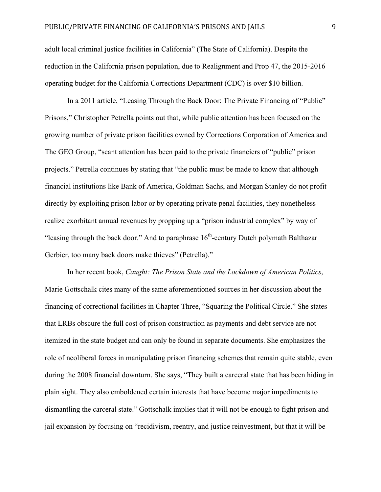adult local criminal justice facilities in California" (The State of California). Despite the reduction in the California prison population, due to Realignment and Prop 47, the 2015-2016 operating budget for the California Corrections Department (CDC) is over \$10 billion.

In a 2011 article, "Leasing Through the Back Door: The Private Financing of "Public" Prisons," Christopher Petrella points out that, while public attention has been focused on the growing number of private prison facilities owned by Corrections Corporation of America and The GEO Group, "scant attention has been paid to the private financiers of "public" prison projects." Petrella continues by stating that "the public must be made to know that although financial institutions like Bank of America, Goldman Sachs, and Morgan Stanley do not profit directly by exploiting prison labor or by operating private penal facilities, they nonetheless realize exorbitant annual revenues by propping up a "prison industrial complex" by way of "leasing through the back door." And to paraphrase  $16<sup>th</sup>$ -century Dutch polymath Balthazar Gerbier, too many back doors make thieves" (Petrella)."

In her recent book, *Caught: The Prison State and the Lockdown of American Politics*, Marie Gottschalk cites many of the same aforementioned sources in her discussion about the financing of correctional facilities in Chapter Three, "Squaring the Political Circle." She states that LRBs obscure the full cost of prison construction as payments and debt service are not itemized in the state budget and can only be found in separate documents. She emphasizes the role of neoliberal forces in manipulating prison financing schemes that remain quite stable, even during the 2008 financial downturn. She says, "They built a carceral state that has been hiding in plain sight. They also emboldened certain interests that have become major impediments to dismantling the carceral state." Gottschalk implies that it will not be enough to fight prison and jail expansion by focusing on "recidivism, reentry, and justice reinvestment, but that it will be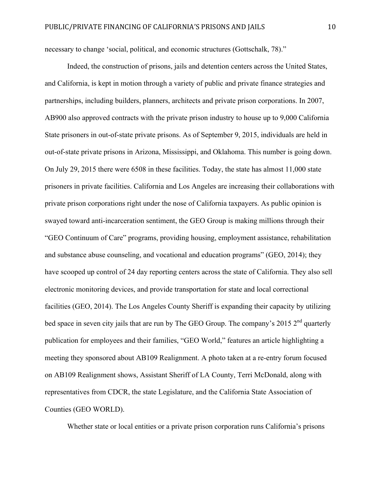necessary to change 'social, political, and economic structures (Gottschalk, 78)."

Indeed, the construction of prisons, jails and detention centers across the United States, and California, is kept in motion through a variety of public and private finance strategies and partnerships, including builders, planners, architects and private prison corporations. In 2007, AB900 also approved contracts with the private prison industry to house up to 9,000 California State prisoners in out-of-state private prisons. As of September 9, 2015, individuals are held in out-of-state private prisons in Arizona, Mississippi, and Oklahoma. This number is going down. On July 29, 2015 there were 6508 in these facilities. Today, the state has almost 11,000 state prisoners in private facilities. California and Los Angeles are increasing their collaborations with private prison corporations right under the nose of California taxpayers. As public opinion is swayed toward anti-incarceration sentiment, the GEO Group is making millions through their "GEO Continuum of Care" programs, providing housing, employment assistance, rehabilitation and substance abuse counseling, and vocational and education programs" (GEO, 2014); they have scooped up control of 24 day reporting centers across the state of California. They also sell electronic monitoring devices, and provide transportation for state and local correctional facilities (GEO, 2014). The Los Angeles County Sheriff is expanding their capacity by utilizing bed space in seven city jails that are run by The GEO Group. The company's 2015  $2<sup>nd</sup>$  quarterly publication for employees and their families, "GEO World," features an article highlighting a meeting they sponsored about AB109 Realignment. A photo taken at a re-entry forum focused on AB109 Realignment shows, Assistant Sheriff of LA County, Terri McDonald, along with representatives from CDCR, the state Legislature, and the California State Association of Counties (GEO WORLD).

Whether state or local entities or a private prison corporation runs California's prisons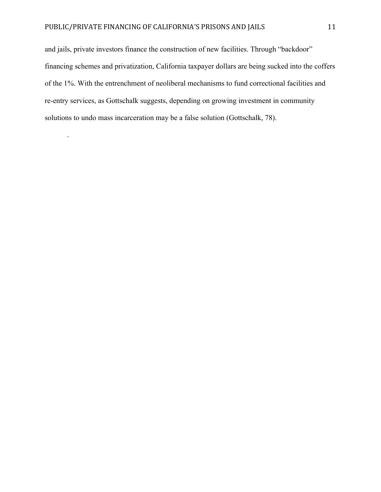.

and jails, private investors finance the construction of new facilities. Through "backdoor" financing schemes and privatization, California taxpayer dollars are being sucked into the coffers of the 1%. With the entrenchment of neoliberal mechanisms to fund correctional facilities and re-entry services, as Gottschalk suggests, depending on growing investment in community solutions to undo mass incarceration may be a false solution (Gottschalk, 78).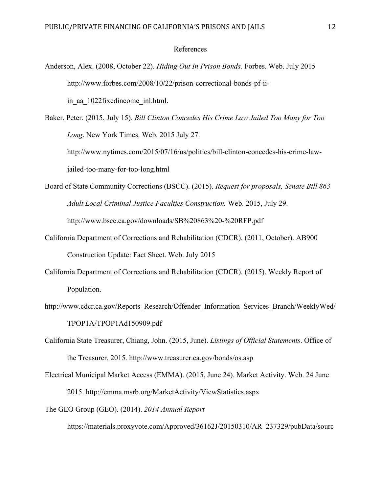## References

Anderson, Alex. (2008, October 22). *Hiding Out In Prison Bonds.* Forbes. Web. July 2015 http://www.forbes.com/2008/10/22/prison-correctional-bonds-pf-iiin aa 1022fixedincome inl.html.

Baker, Peter. (2015, July 15). *Bill Clinton Concedes His Crime Law Jailed Too Many for Too Long*. New York Times. Web. 2015 July 27. http://www.nytimes.com/2015/07/16/us/politics/bill-clinton-concedes-his-crime-lawjailed-too-many-for-too-long.html

- Board of State Community Corrections (BSCC). (2015). *Request for proposals, Senate Bill 863 Adult Local Criminal Justice Faculties Construction.* Web. 2015, July 29. http://www.bscc.ca.gov/downloads/SB%20863%20-%20RFP.pdf
- California Department of Corrections and Rehabilitation (CDCR). (2011, October). AB900 Construction Update: Fact Sheet. Web. July 2015
- California Department of Corrections and Rehabilitation (CDCR). (2015). Weekly Report of Population.
- http://www.cdcr.ca.gov/Reports\_Research/Offender\_Information\_Services\_Branch/WeeklyWed/ TPOP1A/TPOP1Ad150909.pdf
- California State Treasurer, Chiang, John. (2015, June). *Listings of Official Statements*. Office of the Treasurer. 2015. http://www.treasurer.ca.gov/bonds/os.asp
- Electrical Municipal Market Access (EMMA). (2015, June 24). Market Activity. Web. 24 June 2015. http://emma.msrb.org/MarketActivity/ViewStatistics.aspx

The GEO Group (GEO). (2014). *2014 Annual Report*

https://materials.proxyvote.com/Approved/36162J/20150310/AR\_237329/pubData/sourc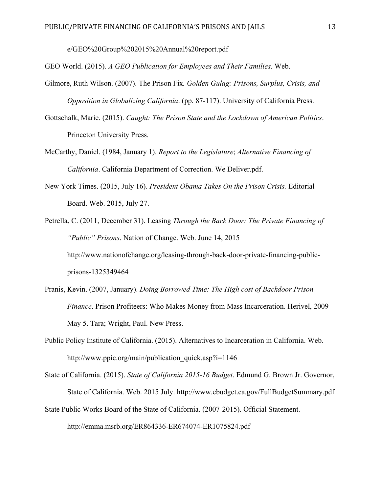e/GEO%20Group%202015%20Annual%20report.pdf

GEO World. (2015). *A GEO Publication for Employees and Their Families*. Web.

- Gilmore, Ruth Wilson. (2007). The Prison Fix*. Golden Gulag: Prisons, Surplus, Crisis, and Opposition in Globalizing California*. (pp. 87-117). University of California Press.
- Gottschalk, Marie. (2015). *Caught: The Prison State and the Lockdown of American Politics*. Princeton University Press.
- McCarthy, Daniel. (1984, January 1). *Report to the Legislature*; *Alternative Financing of California*. California Department of Correction. We Deliver.pdf.
- New York Times. (2015, July 16). *President Obama Takes On the Prison Crisis.* Editorial Board. Web. 2015, July 27.
- Petrella, C. (2011, December 31). Leasing *Through the Back Door: The Private Financing of "Public" Prisons*. Nation of Change. Web. June 14, 2015 http://www.nationofchange.org/leasing-through-back-door-private-financing-publicprisons-1325349464
- Pranis, Kevin. (2007, January). *Doing Borrowed Time: The High cost of Backdoor Prison Finance*. Prison Profiteers: Who Makes Money from Mass Incarceration. Herivel, 2009 May 5. Tara; Wright, Paul. New Press.
- Public Policy Institute of California. (2015). Alternatives to Incarceration in California. Web. http://www.ppic.org/main/publication\_quick.asp?i=1146

State of California. (2015). *State of California 2015-16 Budget*. Edmund G. Brown Jr. Governor, State of California. Web. 2015 July. http://www.ebudget.ca.gov/FullBudgetSummary.pdf State Public Works Board of the State of California. (2007-2015). Official Statement. http://emma.msrb.org/ER864336-ER674074-ER1075824.pdf